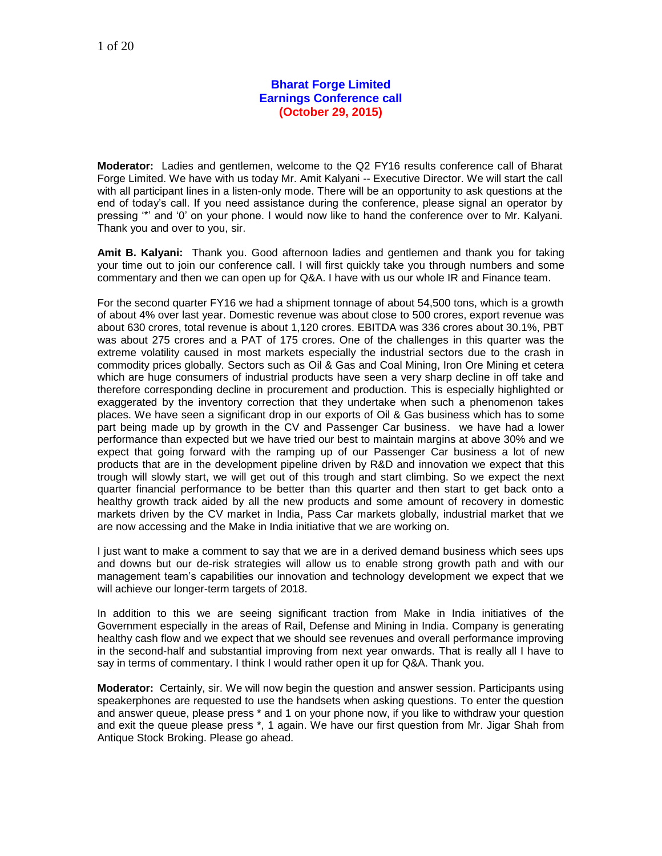## **Bharat Forge Limited Earnings Conference call (October 29, 2015)**

**Moderator:** Ladies and gentlemen, welcome to the Q2 FY16 results conference call of Bharat Forge Limited. We have with us today Mr. Amit Kalyani -- Executive Director. We will start the call with all participant lines in a listen-only mode. There will be an opportunity to ask questions at the end of today's call. If you need assistance during the conference, please signal an operator by pressing '\*' and '0' on your phone. I would now like to hand the conference over to Mr. Kalyani. Thank you and over to you, sir.

**Amit B. Kalyani:** Thank you. Good afternoon ladies and gentlemen and thank you for taking your time out to join our conference call. I will first quickly take you through numbers and some commentary and then we can open up for Q&A. I have with us our whole IR and Finance team.

For the second quarter FY16 we had a shipment tonnage of about 54,500 tons, which is a growth of about 4% over last year. Domestic revenue was about close to 500 crores, export revenue was about 630 crores, total revenue is about 1,120 crores. EBITDA was 336 crores about 30.1%, PBT was about 275 crores and a PAT of 175 crores. One of the challenges in this quarter was the extreme volatility caused in most markets especially the industrial sectors due to the crash in commodity prices globally. Sectors such as Oil & Gas and Coal Mining, Iron Ore Mining et cetera which are huge consumers of industrial products have seen a very sharp decline in off take and therefore corresponding decline in procurement and production. This is especially highlighted or exaggerated by the inventory correction that they undertake when such a phenomenon takes places. We have seen a significant drop in our exports of Oil & Gas business which has to some part being made up by growth in the CV and Passenger Car business. we have had a lower performance than expected but we have tried our best to maintain margins at above 30% and we expect that going forward with the ramping up of our Passenger Car business a lot of new products that are in the development pipeline driven by R&D and innovation we expect that this trough will slowly start, we will get out of this trough and start climbing. So we expect the next quarter financial performance to be better than this quarter and then start to get back onto a healthy growth track aided by all the new products and some amount of recovery in domestic markets driven by the CV market in India, Pass Car markets globally, industrial market that we are now accessing and the Make in India initiative that we are working on.

I just want to make a comment to say that we are in a derived demand business which sees ups and downs but our de-risk strategies will allow us to enable strong growth path and with our management team's capabilities our innovation and technology development we expect that we will achieve our longer-term targets of 2018.

In addition to this we are seeing significant traction from Make in India initiatives of the Government especially in the areas of Rail, Defense and Mining in India. Company is generating healthy cash flow and we expect that we should see revenues and overall performance improving in the second-half and substantial improving from next year onwards. That is really all I have to say in terms of commentary. I think I would rather open it up for Q&A. Thank you.

**Moderator:** Certainly, sir. We will now begin the question and answer session. Participants using speakerphones are requested to use the handsets when asking questions. To enter the question and answer queue, please press \* and 1 on your phone now, if you like to withdraw your question and exit the queue please press \*, 1 again. We have our first question from Mr. Jigar Shah from Antique Stock Broking. Please go ahead.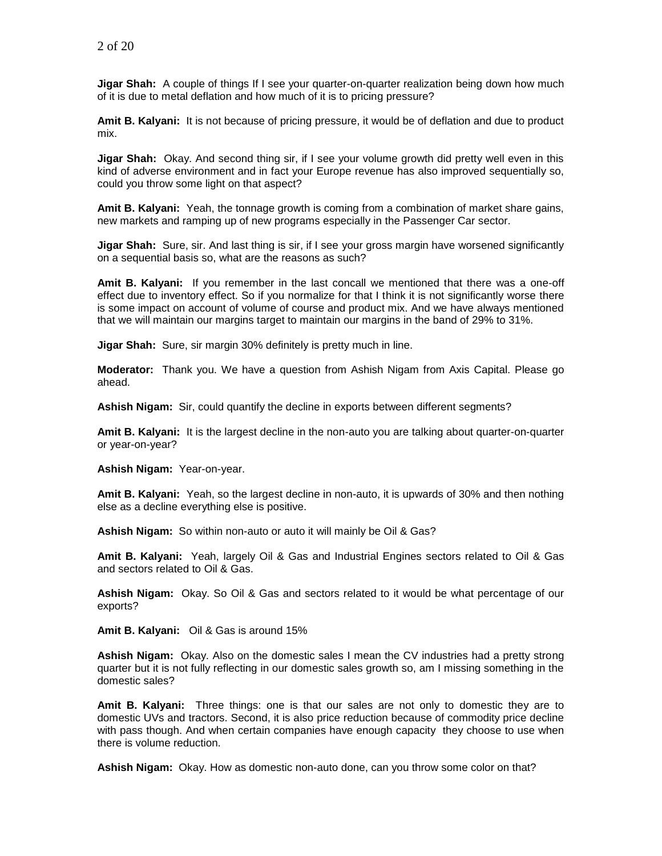**Jigar Shah:** A couple of things If I see your quarter-on-quarter realization being down how much of it is due to metal deflation and how much of it is to pricing pressure?

**Amit B. Kalyani:** It is not because of pricing pressure, it would be of deflation and due to product mix.

**Jigar Shah:** Okay. And second thing sir, if I see your volume growth did pretty well even in this kind of adverse environment and in fact your Europe revenue has also improved sequentially so, could you throw some light on that aspect?

**Amit B. Kalyani:** Yeah, the tonnage growth is coming from a combination of market share gains, new markets and ramping up of new programs especially in the Passenger Car sector.

**Jigar Shah:** Sure, sir. And last thing is sir, if I see your gross margin have worsened significantly on a sequential basis so, what are the reasons as such?

**Amit B. Kalyani:** If you remember in the last concall we mentioned that there was a one-off effect due to inventory effect. So if you normalize for that I think it is not significantly worse there is some impact on account of volume of course and product mix. And we have always mentioned that we will maintain our margins target to maintain our margins in the band of 29% to 31%.

**Jigar Shah:** Sure, sir margin 30% definitely is pretty much in line.

**Moderator:** Thank you. We have a question from Ashish Nigam from Axis Capital. Please go ahead.

**Ashish Nigam:** Sir, could quantify the decline in exports between different segments?

**Amit B. Kalyani:** It is the largest decline in the non-auto you are talking about quarter-on-quarter or year-on-year?

**Ashish Nigam:** Year-on-year.

**Amit B. Kalyani:** Yeah, so the largest decline in non-auto, it is upwards of 30% and then nothing else as a decline everything else is positive.

**Ashish Nigam:** So within non-auto or auto it will mainly be Oil & Gas?

**Amit B. Kalyani:** Yeah, largely Oil & Gas and Industrial Engines sectors related to Oil & Gas and sectors related to Oil & Gas.

**Ashish Nigam:** Okay. So Oil & Gas and sectors related to it would be what percentage of our exports?

**Amit B. Kalyani:** Oil & Gas is around 15%

**Ashish Nigam:** Okay. Also on the domestic sales I mean the CV industries had a pretty strong quarter but it is not fully reflecting in our domestic sales growth so, am I missing something in the domestic sales?

**Amit B. Kalyani:** Three things: one is that our sales are not only to domestic they are to domestic UVs and tractors. Second, it is also price reduction because of commodity price decline with pass though. And when certain companies have enough capacity they choose to use when there is volume reduction.

**Ashish Nigam:** Okay. How as domestic non-auto done, can you throw some color on that?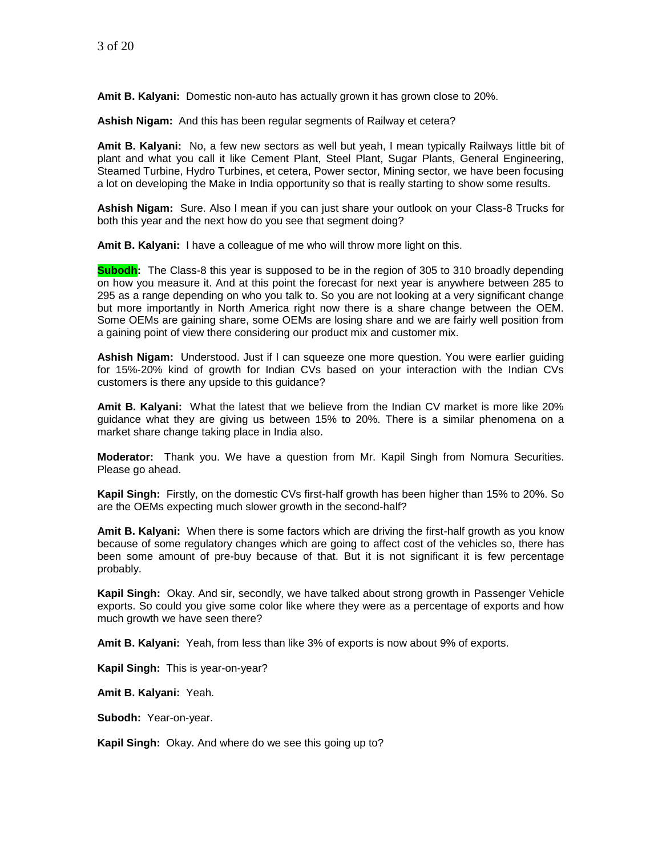**Amit B. Kalyani:** Domestic non-auto has actually grown it has grown close to 20%.

**Ashish Nigam:** And this has been regular segments of Railway et cetera?

**Amit B. Kalyani:** No, a few new sectors as well but yeah, I mean typically Railways little bit of plant and what you call it like Cement Plant, Steel Plant, Sugar Plants, General Engineering, Steamed Turbine, Hydro Turbines, et cetera, Power sector, Mining sector, we have been focusing a lot on developing the Make in India opportunity so that is really starting to show some results.

**Ashish Nigam:** Sure. Also I mean if you can just share your outlook on your Class-8 Trucks for both this year and the next how do you see that segment doing?

**Amit B. Kalyani:** I have a colleague of me who will throw more light on this.

**Subodh:** The Class-8 this year is supposed to be in the region of 305 to 310 broadly depending on how you measure it. And at this point the forecast for next year is anywhere between 285 to 295 as a range depending on who you talk to. So you are not looking at a very significant change but more importantly in North America right now there is a share change between the OEM. Some OEMs are gaining share, some OEMs are losing share and we are fairly well position from a gaining point of view there considering our product mix and customer mix.

**Ashish Nigam:** Understood. Just if I can squeeze one more question. You were earlier guiding for 15%-20% kind of growth for Indian CVs based on your interaction with the Indian CVs customers is there any upside to this guidance?

**Amit B. Kalyani:** What the latest that we believe from the Indian CV market is more like 20% guidance what they are giving us between 15% to 20%. There is a similar phenomena on a market share change taking place in India also.

**Moderator:** Thank you. We have a question from Mr. Kapil Singh from Nomura Securities. Please go ahead.

**Kapil Singh:** Firstly, on the domestic CVs first-half growth has been higher than 15% to 20%. So are the OEMs expecting much slower growth in the second-half?

**Amit B. Kalyani:** When there is some factors which are driving the first-half growth as you know because of some regulatory changes which are going to affect cost of the vehicles so, there has been some amount of pre-buy because of that. But it is not significant it is few percentage probably.

**Kapil Singh:** Okay. And sir, secondly, we have talked about strong growth in Passenger Vehicle exports. So could you give some color like where they were as a percentage of exports and how much growth we have seen there?

**Amit B. Kalyani:** Yeah, from less than like 3% of exports is now about 9% of exports.

**Kapil Singh:** This is year-on-year?

**Amit B. Kalyani:** Yeah.

**Subodh:** Year-on-year.

**Kapil Singh:** Okay. And where do we see this going up to?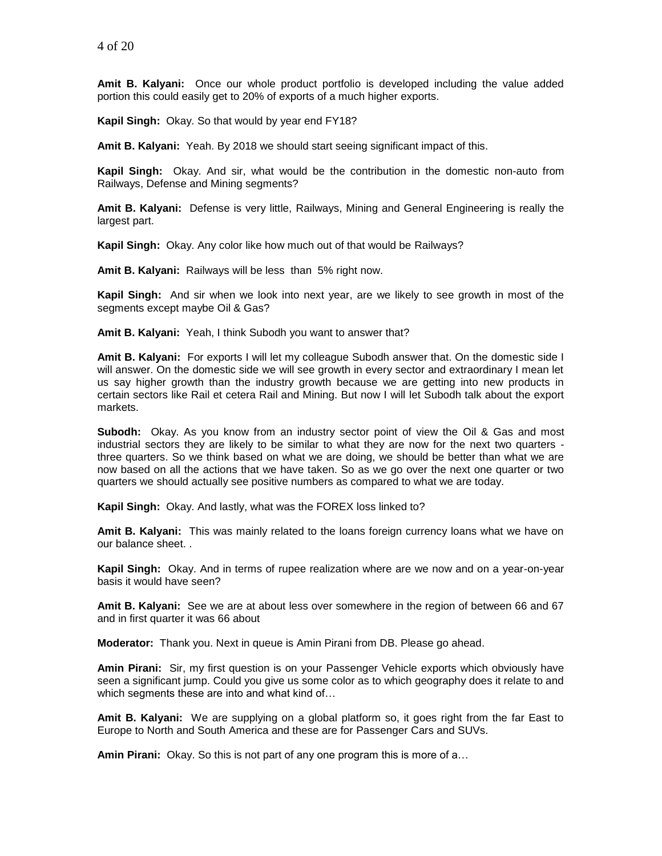**Amit B. Kalyani:** Once our whole product portfolio is developed including the value added portion this could easily get to 20% of exports of a much higher exports.

**Kapil Singh:** Okay. So that would by year end FY18?

**Amit B. Kalyani:** Yeah. By 2018 we should start seeing significant impact of this.

**Kapil Singh:** Okay. And sir, what would be the contribution in the domestic non-auto from Railways, Defense and Mining segments?

**Amit B. Kalyani:** Defense is very little, Railways, Mining and General Engineering is really the largest part.

**Kapil Singh:** Okay. Any color like how much out of that would be Railways?

**Amit B. Kalyani:** Railways will be less than 5% right now.

**Kapil Singh:** And sir when we look into next year, are we likely to see growth in most of the segments except maybe Oil & Gas?

**Amit B. Kalyani:** Yeah, I think Subodh you want to answer that?

**Amit B. Kalyani:** For exports I will let my colleague Subodh answer that. On the domestic side I will answer. On the domestic side we will see growth in every sector and extraordinary I mean let us say higher growth than the industry growth because we are getting into new products in certain sectors like Rail et cetera Rail and Mining. But now I will let Subodh talk about the export markets.

**Subodh:** Okay. As you know from an industry sector point of view the Oil & Gas and most industrial sectors they are likely to be similar to what they are now for the next two quarters three quarters. So we think based on what we are doing, we should be better than what we are now based on all the actions that we have taken. So as we go over the next one quarter or two quarters we should actually see positive numbers as compared to what we are today.

**Kapil Singh:** Okay. And lastly, what was the FOREX loss linked to?

**Amit B. Kalyani:** This was mainly related to the loans foreign currency loans what we have on our balance sheet. .

**Kapil Singh:** Okay. And in terms of rupee realization where are we now and on a year-on-year basis it would have seen?

**Amit B. Kalyani:** See we are at about less over somewhere in the region of between 66 and 67 and in first quarter it was 66 about

**Moderator:** Thank you. Next in queue is Amin Pirani from DB. Please go ahead.

**Amin Pirani:** Sir, my first question is on your Passenger Vehicle exports which obviously have seen a significant jump. Could you give us some color as to which geography does it relate to and which segments these are into and what kind of…

**Amit B. Kalyani:** We are supplying on a global platform so, it goes right from the far East to Europe to North and South America and these are for Passenger Cars and SUVs.

**Amin Pirani:** Okay. So this is not part of any one program this is more of a…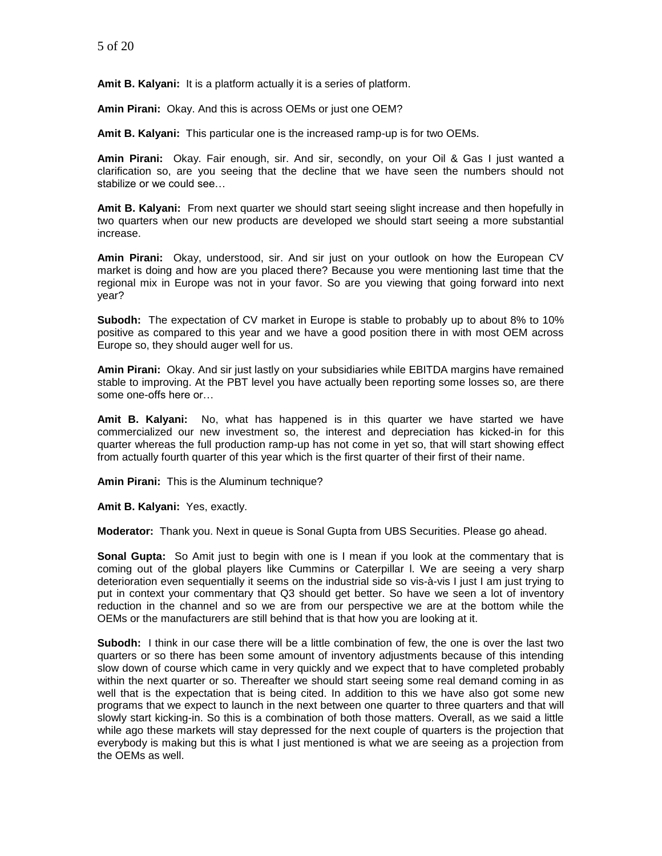**Amit B. Kalyani:** It is a platform actually it is a series of platform.

**Amin Pirani:** Okay. And this is across OEMs or just one OEM?

**Amit B. Kalyani:** This particular one is the increased ramp-up is for two OEMs.

**Amin Pirani:** Okay. Fair enough, sir. And sir, secondly, on your Oil & Gas I just wanted a clarification so, are you seeing that the decline that we have seen the numbers should not stabilize or we could see…

**Amit B. Kalyani:** From next quarter we should start seeing slight increase and then hopefully in two quarters when our new products are developed we should start seeing a more substantial increase.

**Amin Pirani:** Okay, understood, sir. And sir just on your outlook on how the European CV market is doing and how are you placed there? Because you were mentioning last time that the regional mix in Europe was not in your favor. So are you viewing that going forward into next year?

**Subodh:** The expectation of CV market in Europe is stable to probably up to about 8% to 10% positive as compared to this year and we have a good position there in with most OEM across Europe so, they should auger well for us.

**Amin Pirani:** Okay. And sir just lastly on your subsidiaries while EBITDA margins have remained stable to improving. At the PBT level you have actually been reporting some losses so, are there some one-offs here or…

**Amit B. Kalyani:** No, what has happened is in this quarter we have started we have commercialized our new investment so, the interest and depreciation has kicked-in for this quarter whereas the full production ramp-up has not come in yet so, that will start showing effect from actually fourth quarter of this year which is the first quarter of their first of their name.

**Amin Pirani:** This is the Aluminum technique?

**Amit B. Kalyani:** Yes, exactly.

**Moderator:** Thank you. Next in queue is Sonal Gupta from UBS Securities. Please go ahead.

**Sonal Gupta:** So Amit just to begin with one is I mean if you look at the commentary that is coming out of the global players like Cummins or Caterpillar l. We are seeing a very sharp deterioration even sequentially it seems on the industrial side so vis-à-vis I just I am just trying to put in context your commentary that Q3 should get better. So have we seen a lot of inventory reduction in the channel and so we are from our perspective we are at the bottom while the OEMs or the manufacturers are still behind that is that how you are looking at it.

**Subodh:** I think in our case there will be a little combination of few, the one is over the last two quarters or so there has been some amount of inventory adjustments because of this intending slow down of course which came in very quickly and we expect that to have completed probably within the next quarter or so. Thereafter we should start seeing some real demand coming in as well that is the expectation that is being cited. In addition to this we have also got some new programs that we expect to launch in the next between one quarter to three quarters and that will slowly start kicking-in. So this is a combination of both those matters. Overall, as we said a little while ago these markets will stay depressed for the next couple of quarters is the projection that everybody is making but this is what I just mentioned is what we are seeing as a projection from the OEMs as well.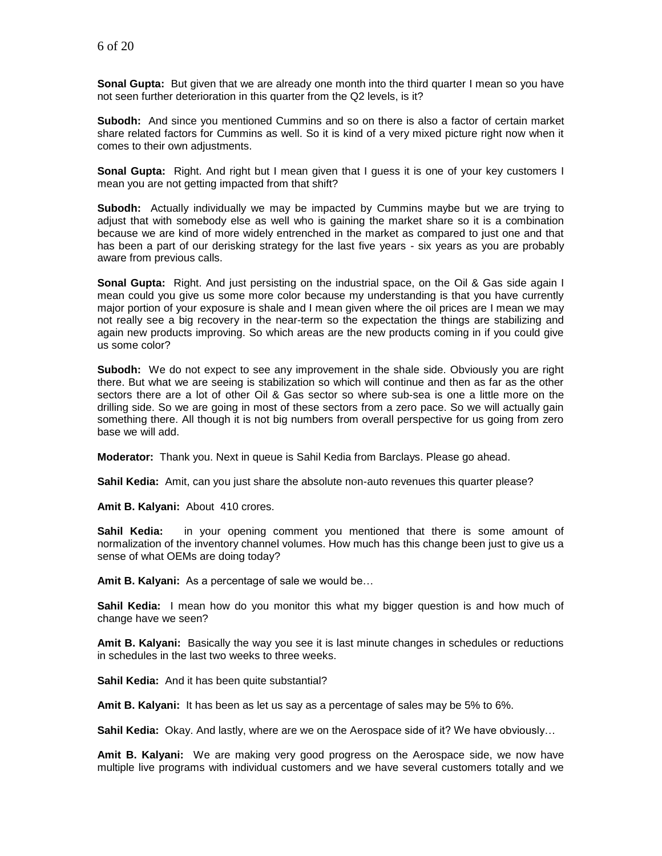**Sonal Gupta:** But given that we are already one month into the third quarter I mean so you have not seen further deterioration in this quarter from the Q2 levels, is it?

**Subodh:** And since you mentioned Cummins and so on there is also a factor of certain market share related factors for Cummins as well. So it is kind of a very mixed picture right now when it comes to their own adjustments.

**Sonal Gupta:** Right. And right but I mean given that I guess it is one of your key customers I mean you are not getting impacted from that shift?

**Subodh:** Actually individually we may be impacted by Cummins maybe but we are trying to adjust that with somebody else as well who is gaining the market share so it is a combination because we are kind of more widely entrenched in the market as compared to just one and that has been a part of our derisking strategy for the last five years - six years as you are probably aware from previous calls.

**Sonal Gupta:** Right. And just persisting on the industrial space, on the Oil & Gas side again I mean could you give us some more color because my understanding is that you have currently major portion of your exposure is shale and I mean given where the oil prices are I mean we may not really see a big recovery in the near-term so the expectation the things are stabilizing and again new products improving. So which areas are the new products coming in if you could give us some color?

**Subodh:** We do not expect to see any improvement in the shale side. Obviously you are right there. But what we are seeing is stabilization so which will continue and then as far as the other sectors there are a lot of other Oil & Gas sector so where sub-sea is one a little more on the drilling side. So we are going in most of these sectors from a zero pace. So we will actually gain something there. All though it is not big numbers from overall perspective for us going from zero base we will add.

**Moderator:** Thank you. Next in queue is Sahil Kedia from Barclays. Please go ahead.

**Sahil Kedia:** Amit, can you just share the absolute non-auto revenues this quarter please?

**Amit B. Kalyani:** About 410 crores.

**Sahil Kedia:** in your opening comment you mentioned that there is some amount of normalization of the inventory channel volumes. How much has this change been just to give us a sense of what OEMs are doing today?

**Amit B. Kalyani:** As a percentage of sale we would be…

**Sahil Kedia:** I mean how do you monitor this what my bigger question is and how much of change have we seen?

**Amit B. Kalyani:** Basically the way you see it is last minute changes in schedules or reductions in schedules in the last two weeks to three weeks.

**Sahil Kedia:** And it has been quite substantial?

**Amit B. Kalyani:** It has been as let us say as a percentage of sales may be 5% to 6%.

**Sahil Kedia:** Okay. And lastly, where are we on the Aerospace side of it? We have obviously…

**Amit B. Kalyani:** We are making very good progress on the Aerospace side, we now have multiple live programs with individual customers and we have several customers totally and we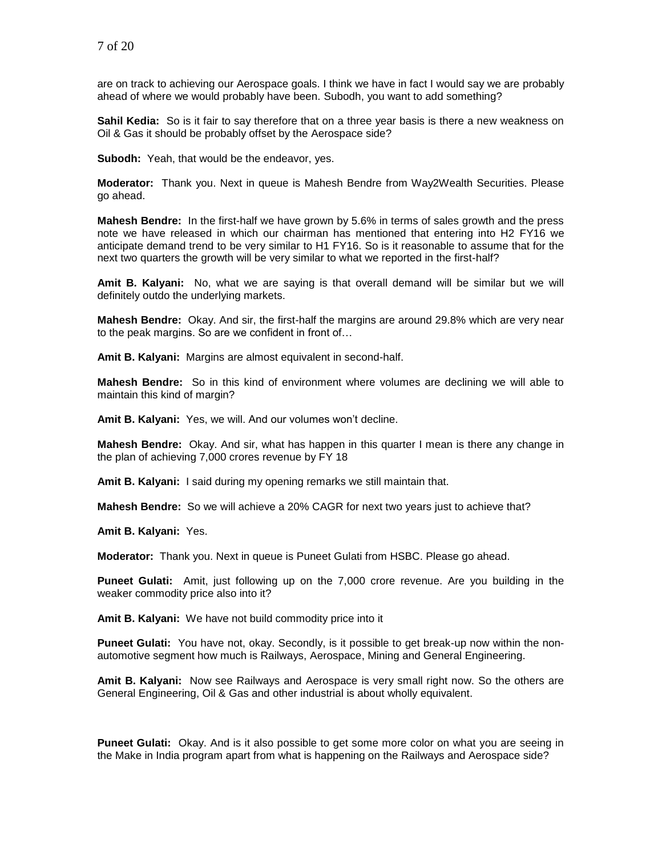are on track to achieving our Aerospace goals. I think we have in fact I would say we are probably ahead of where we would probably have been. Subodh, you want to add something?

**Sahil Kedia:** So is it fair to say therefore that on a three year basis is there a new weakness on Oil & Gas it should be probably offset by the Aerospace side?

**Subodh:** Yeah, that would be the endeavor, yes.

**Moderator:** Thank you. Next in queue is Mahesh Bendre from Way2Wealth Securities. Please go ahead.

**Mahesh Bendre:** In the first-half we have grown by 5.6% in terms of sales growth and the press note we have released in which our chairman has mentioned that entering into H2 FY16 we anticipate demand trend to be very similar to H1 FY16. So is it reasonable to assume that for the next two quarters the growth will be very similar to what we reported in the first-half?

**Amit B. Kalyani:** No, what we are saying is that overall demand will be similar but we will definitely outdo the underlying markets.

**Mahesh Bendre:** Okay. And sir, the first-half the margins are around 29.8% which are very near to the peak margins. So are we confident in front of…

**Amit B. Kalyani:** Margins are almost equivalent in second-half.

**Mahesh Bendre:** So in this kind of environment where volumes are declining we will able to maintain this kind of margin?

**Amit B. Kalyani:** Yes, we will. And our volumes won't decline.

**Mahesh Bendre:** Okay. And sir, what has happen in this quarter I mean is there any change in the plan of achieving 7,000 crores revenue by FY 18

**Amit B. Kalyani:** I said during my opening remarks we still maintain that.

**Mahesh Bendre:** So we will achieve a 20% CAGR for next two years just to achieve that?

**Amit B. Kalyani:** Yes.

**Moderator:** Thank you. Next in queue is Puneet Gulati from HSBC. Please go ahead.

**Puneet Gulati:** Amit, just following up on the 7,000 crore revenue. Are you building in the weaker commodity price also into it?

**Amit B. Kalyani:** We have not build commodity price into it

**Puneet Gulati:** You have not, okay. Secondly, is it possible to get break-up now within the nonautomotive segment how much is Railways, Aerospace, Mining and General Engineering.

**Amit B. Kalyani:** Now see Railways and Aerospace is very small right now. So the others are General Engineering, Oil & Gas and other industrial is about wholly equivalent.

**Puneet Gulati:** Okay. And is it also possible to get some more color on what you are seeing in the Make in India program apart from what is happening on the Railways and Aerospace side?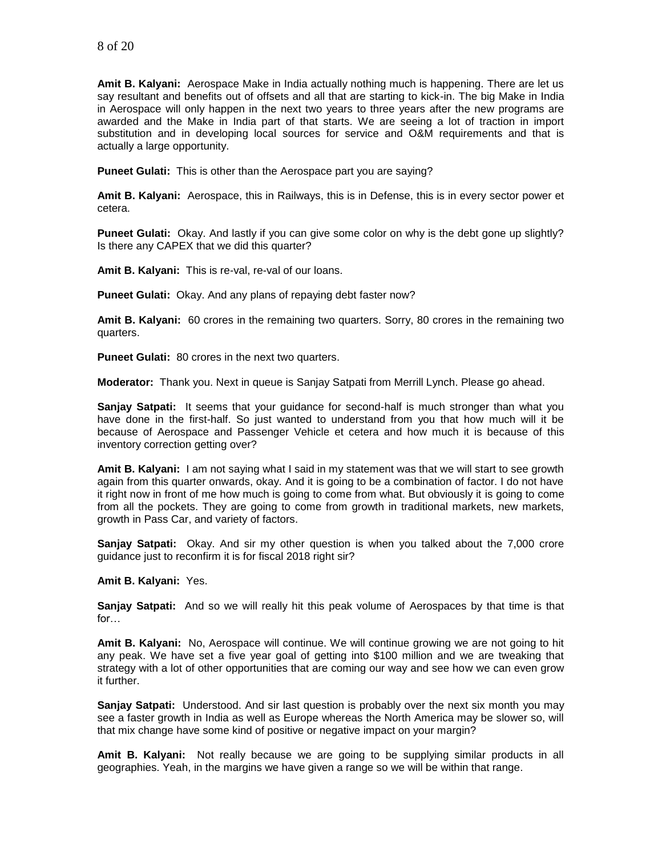**Amit B. Kalyani:** Aerospace Make in India actually nothing much is happening. There are let us say resultant and benefits out of offsets and all that are starting to kick-in. The big Make in India in Aerospace will only happen in the next two years to three years after the new programs are awarded and the Make in India part of that starts. We are seeing a lot of traction in import substitution and in developing local sources for service and O&M requirements and that is actually a large opportunity.

**Puneet Gulati:** This is other than the Aerospace part you are saying?

**Amit B. Kalyani:** Aerospace, this in Railways, this is in Defense, this is in every sector power et cetera.

**Puneet Gulati:** Okay. And lastly if you can give some color on why is the debt gone up slightly? Is there any CAPEX that we did this quarter?

**Amit B. Kalyani:** This is re-val, re-val of our loans.

**Puneet Gulati:** Okay. And any plans of repaying debt faster now?

**Amit B. Kalyani:** 60 crores in the remaining two quarters. Sorry, 80 crores in the remaining two quarters.

**Puneet Gulati:** 80 crores in the next two quarters.

**Moderator:** Thank you. Next in queue is Sanjay Satpati from Merrill Lynch. Please go ahead.

**Sanjay Satpati:** It seems that your guidance for second-half is much stronger than what you have done in the first-half. So just wanted to understand from you that how much will it be because of Aerospace and Passenger Vehicle et cetera and how much it is because of this inventory correction getting over?

**Amit B. Kalyani:** I am not saying what I said in my statement was that we will start to see growth again from this quarter onwards, okay. And it is going to be a combination of factor. I do not have it right now in front of me how much is going to come from what. But obviously it is going to come from all the pockets. They are going to come from growth in traditional markets, new markets, growth in Pass Car, and variety of factors.

**Sanjay Satpati:** Okay. And sir my other question is when you talked about the 7,000 crore guidance just to reconfirm it is for fiscal 2018 right sir?

**Amit B. Kalyani:** Yes.

**Sanjay Satpati:** And so we will really hit this peak volume of Aerospaces by that time is that for…

**Amit B. Kalyani:** No, Aerospace will continue. We will continue growing we are not going to hit any peak. We have set a five year goal of getting into \$100 million and we are tweaking that strategy with a lot of other opportunities that are coming our way and see how we can even grow it further.

**Sanjay Satpati:** Understood. And sir last question is probably over the next six month you may see a faster growth in India as well as Europe whereas the North America may be slower so, will that mix change have some kind of positive or negative impact on your margin?

**Amit B. Kalyani:** Not really because we are going to be supplying similar products in all geographies. Yeah, in the margins we have given a range so we will be within that range.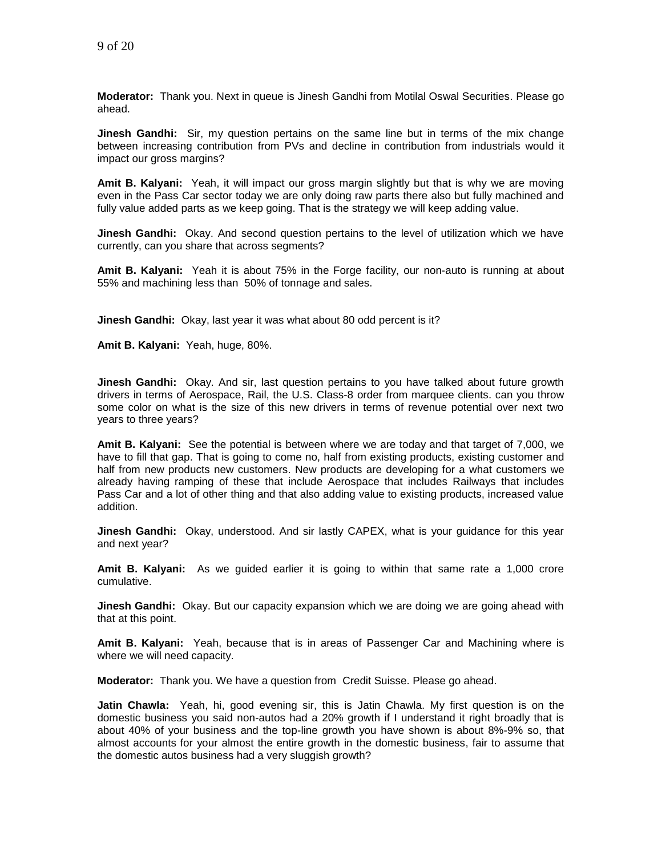**Moderator:** Thank you. Next in queue is Jinesh Gandhi from Motilal Oswal Securities. Please go ahead.

**Jinesh Gandhi:** Sir, my question pertains on the same line but in terms of the mix change between increasing contribution from PVs and decline in contribution from industrials would it impact our gross margins?

**Amit B. Kalyani:** Yeah, it will impact our gross margin slightly but that is why we are moving even in the Pass Car sector today we are only doing raw parts there also but fully machined and fully value added parts as we keep going. That is the strategy we will keep adding value.

**Jinesh Gandhi:** Okay. And second question pertains to the level of utilization which we have currently, can you share that across segments?

**Amit B. Kalyani:** Yeah it is about 75% in the Forge facility, our non-auto is running at about 55% and machining less than 50% of tonnage and sales.

**Jinesh Gandhi:** Okay, last year it was what about 80 odd percent is it?

**Amit B. Kalyani:** Yeah, huge, 80%.

**Jinesh Gandhi:** Okay. And sir, last question pertains to you have talked about future growth drivers in terms of Aerospace, Rail, the U.S. Class-8 order from marquee clients. can you throw some color on what is the size of this new drivers in terms of revenue potential over next two years to three years?

**Amit B. Kalyani:** See the potential is between where we are today and that target of 7,000, we have to fill that gap. That is going to come no, half from existing products, existing customer and half from new products new customers. New products are developing for a what customers we already having ramping of these that include Aerospace that includes Railways that includes Pass Car and a lot of other thing and that also adding value to existing products, increased value addition.

**Jinesh Gandhi:** Okay, understood. And sir lastly CAPEX, what is your guidance for this year and next year?

**Amit B. Kalyani:** As we guided earlier it is going to within that same rate a 1,000 crore cumulative.

**Jinesh Gandhi:** Okay. But our capacity expansion which we are doing we are going ahead with that at this point.

**Amit B. Kalyani:** Yeah, because that is in areas of Passenger Car and Machining where is where we will need capacity.

**Moderator:** Thank you. We have a question from Credit Suisse. Please go ahead.

**Jatin Chawla:** Yeah, hi, good evening sir, this is Jatin Chawla. My first question is on the domestic business you said non-autos had a 20% growth if I understand it right broadly that is about 40% of your business and the top-line growth you have shown is about 8%-9% so, that almost accounts for your almost the entire growth in the domestic business, fair to assume that the domestic autos business had a very sluggish growth?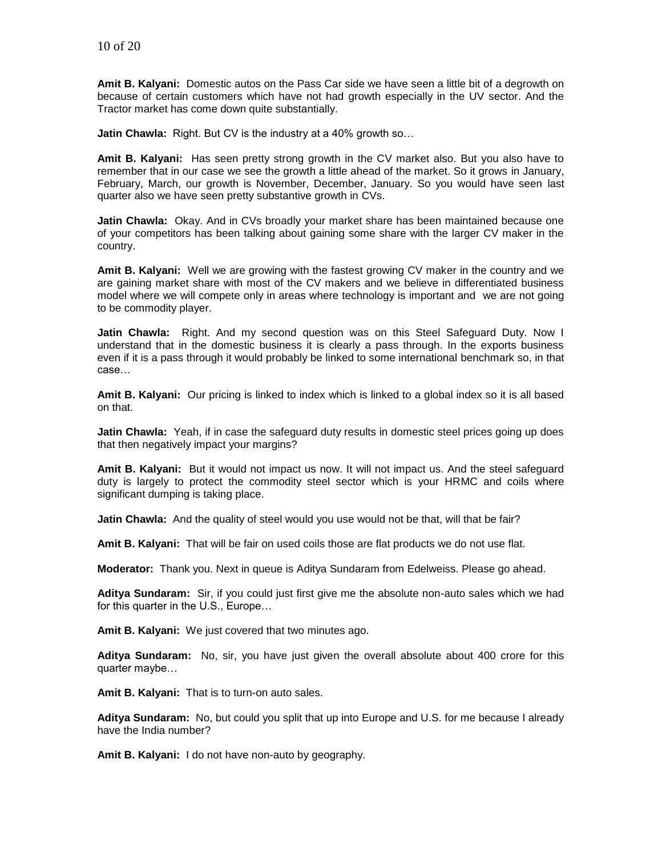**Amit B. Kalyani:** Domestic autos on the Pass Car side we have seen a little bit of a degrowth on because of certain customers which have not had growth especially in the UV sector. And the Tractor market has come down quite substantially.

**Jatin Chawla:** Right. But CV is the industry at a 40% growth so…

**Amit B. Kalyani:** Has seen pretty strong growth in the CV market also. But you also have to remember that in our case we see the growth a little ahead of the market. So it grows in January, February, March, our growth is November, December, January. So you would have seen last quarter also we have seen pretty substantive growth in CVs.

**Jatin Chawla:** Okay. And in CVs broadly your market share has been maintained because one of your competitors has been talking about gaining some share with the larger CV maker in the country.

**Amit B. Kalyani:** Well we are growing with the fastest growing CV maker in the country and we are gaining market share with most of the CV makers and we believe in differentiated business model where we will compete only in areas where technology is important and we are not going to be commodity player.

**Jatin Chawla:** Right. And my second question was on this Steel Safeguard Duty. Now I understand that in the domestic business it is clearly a pass through. In the exports business even if it is a pass through it would probably be linked to some international benchmark so, in that case…

**Amit B. Kalyani:** Our pricing is linked to index which is linked to a global index so it is all based on that.

**Jatin Chawla:** Yeah, if in case the safeguard duty results in domestic steel prices going up does that then negatively impact your margins?

**Amit B. Kalyani:** But it would not impact us now. It will not impact us. And the steel safeguard duty is largely to protect the commodity steel sector which is your HRMC and coils where significant dumping is taking place.

**Jatin Chawla:** And the quality of steel would you use would not be that, will that be fair?

**Amit B. Kalyani:** That will be fair on used coils those are flat products we do not use flat.

**Moderator:** Thank you. Next in queue is Aditya Sundaram from Edelweiss. Please go ahead.

**Aditya Sundaram:** Sir, if you could just first give me the absolute non-auto sales which we had for this quarter in the U.S., Europe…

**Amit B. Kalyani:** We just covered that two minutes ago.

**Aditya Sundaram:** No, sir, you have just given the overall absolute about 400 crore for this quarter maybe…

**Amit B. Kalyani:** That is to turn-on auto sales.

**Aditya Sundaram:** No, but could you split that up into Europe and U.S. for me because I already have the India number?

**Amit B. Kalyani:** I do not have non-auto by geography.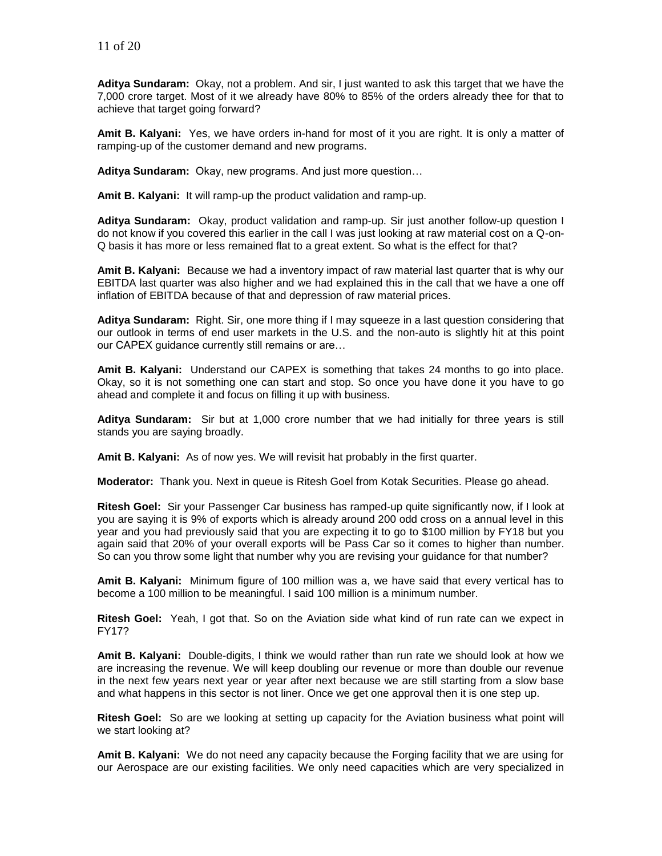**Aditya Sundaram:** Okay, not a problem. And sir, I just wanted to ask this target that we have the 7,000 crore target. Most of it we already have 80% to 85% of the orders already thee for that to achieve that target going forward?

**Amit B. Kalyani:** Yes, we have orders in-hand for most of it you are right. It is only a matter of ramping-up of the customer demand and new programs.

**Aditya Sundaram:** Okay, new programs. And just more question…

**Amit B. Kalyani:** It will ramp-up the product validation and ramp-up.

**Aditya Sundaram:** Okay, product validation and ramp-up. Sir just another follow-up question I do not know if you covered this earlier in the call I was just looking at raw material cost on a Q-on-Q basis it has more or less remained flat to a great extent. So what is the effect for that?

**Amit B. Kalyani:** Because we had a inventory impact of raw material last quarter that is why our EBITDA last quarter was also higher and we had explained this in the call that we have a one off inflation of EBITDA because of that and depression of raw material prices.

**Aditya Sundaram:** Right. Sir, one more thing if I may squeeze in a last question considering that our outlook in terms of end user markets in the U.S. and the non-auto is slightly hit at this point our CAPEX guidance currently still remains or are…

**Amit B. Kalyani:** Understand our CAPEX is something that takes 24 months to go into place. Okay, so it is not something one can start and stop. So once you have done it you have to go ahead and complete it and focus on filling it up with business.

**Aditya Sundaram:** Sir but at 1,000 crore number that we had initially for three years is still stands you are saying broadly.

**Amit B. Kalyani:** As of now yes. We will revisit hat probably in the first quarter.

**Moderator:** Thank you. Next in queue is Ritesh Goel from Kotak Securities. Please go ahead.

**Ritesh Goel:** Sir your Passenger Car business has ramped-up quite significantly now, if I look at you are saying it is 9% of exports which is already around 200 odd cross on a annual level in this year and you had previously said that you are expecting it to go to \$100 million by FY18 but you again said that 20% of your overall exports will be Pass Car so it comes to higher than number. So can you throw some light that number why you are revising your guidance for that number?

**Amit B. Kalyani:** Minimum figure of 100 million was a, we have said that every vertical has to become a 100 million to be meaningful. I said 100 million is a minimum number.

**Ritesh Goel:** Yeah, I got that. So on the Aviation side what kind of run rate can we expect in FY17?

**Amit B. Kalyani:** Double-digits, I think we would rather than run rate we should look at how we are increasing the revenue. We will keep doubling our revenue or more than double our revenue in the next few years next year or year after next because we are still starting from a slow base and what happens in this sector is not liner. Once we get one approval then it is one step up.

**Ritesh Goel:** So are we looking at setting up capacity for the Aviation business what point will we start looking at?

**Amit B. Kalyani:** We do not need any capacity because the Forging facility that we are using for our Aerospace are our existing facilities. We only need capacities which are very specialized in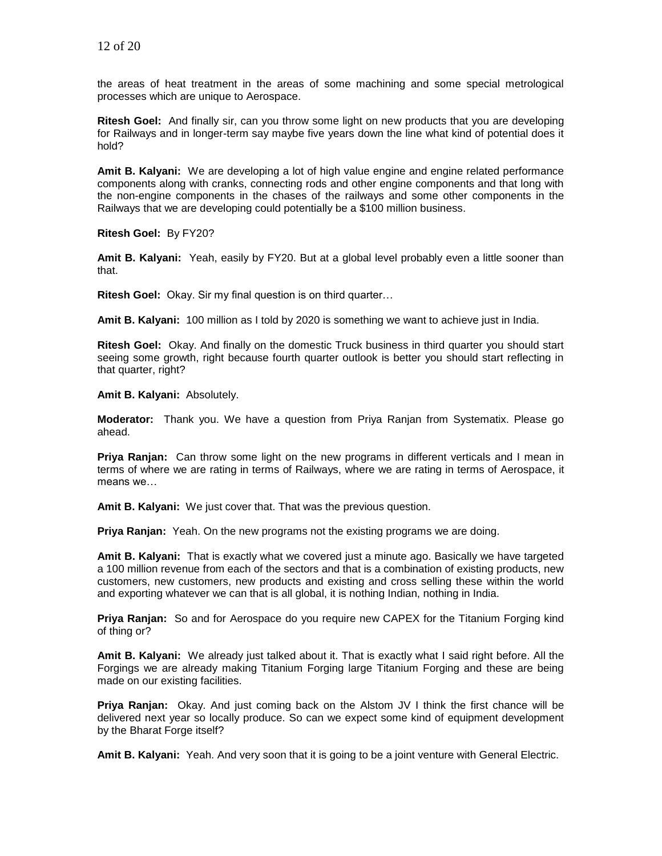the areas of heat treatment in the areas of some machining and some special metrological processes which are unique to Aerospace.

**Ritesh Goel:** And finally sir, can you throw some light on new products that you are developing for Railways and in longer-term say maybe five years down the line what kind of potential does it hold?

**Amit B. Kalyani:** We are developing a lot of high value engine and engine related performance components along with cranks, connecting rods and other engine components and that long with the non-engine components in the chases of the railways and some other components in the Railways that we are developing could potentially be a \$100 million business.

**Ritesh Goel:** By FY20?

**Amit B. Kalyani:** Yeah, easily by FY20. But at a global level probably even a little sooner than that.

**Ritesh Goel:** Okay. Sir my final question is on third quarter…

**Amit B. Kalyani:** 100 million as I told by 2020 is something we want to achieve just in India.

**Ritesh Goel:** Okay. And finally on the domestic Truck business in third quarter you should start seeing some growth, right because fourth quarter outlook is better you should start reflecting in that quarter, right?

**Amit B. Kalyani:** Absolutely.

**Moderator:** Thank you. We have a question from Priya Ranjan from Systematix. Please go ahead.

**Priya Ranjan:** Can throw some light on the new programs in different verticals and I mean in terms of where we are rating in terms of Railways, where we are rating in terms of Aerospace, it means we…

**Amit B. Kalyani:** We just cover that. That was the previous question.

**Priya Ranjan:** Yeah. On the new programs not the existing programs we are doing.

**Amit B. Kalyani:** That is exactly what we covered just a minute ago. Basically we have targeted a 100 million revenue from each of the sectors and that is a combination of existing products, new customers, new customers, new products and existing and cross selling these within the world and exporting whatever we can that is all global, it is nothing Indian, nothing in India.

**Priya Ranjan:** So and for Aerospace do you require new CAPEX for the Titanium Forging kind of thing or?

**Amit B. Kalyani:** We already just talked about it. That is exactly what I said right before. All the Forgings we are already making Titanium Forging large Titanium Forging and these are being made on our existing facilities.

**Priya Ranjan:** Okay. And just coming back on the Alstom JV I think the first chance will be delivered next year so locally produce. So can we expect some kind of equipment development by the Bharat Forge itself?

**Amit B. Kalyani:** Yeah. And very soon that it is going to be a joint venture with General Electric.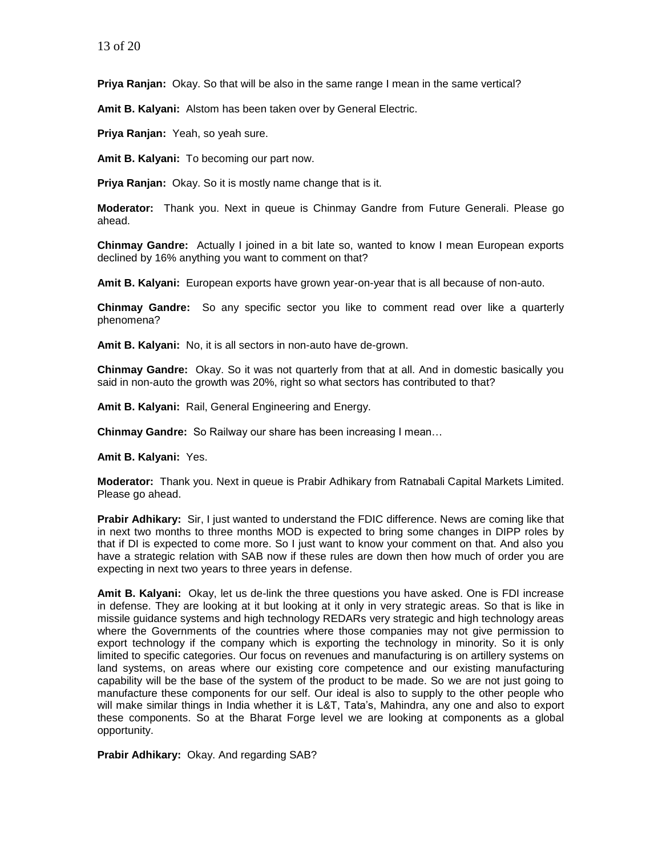**Priya Ranjan:** Okay. So that will be also in the same range I mean in the same vertical?

**Amit B. Kalyani:** Alstom has been taken over by General Electric.

**Priya Ranjan:** Yeah, so yeah sure.

**Amit B. Kalyani:** To becoming our part now.

**Priya Ranjan:** Okay. So it is mostly name change that is it.

**Moderator:** Thank you. Next in queue is Chinmay Gandre from Future Generali. Please go ahead.

**Chinmay Gandre:** Actually I joined in a bit late so, wanted to know I mean European exports declined by 16% anything you want to comment on that?

**Amit B. Kalyani:** European exports have grown year-on-year that is all because of non-auto.

**Chinmay Gandre:** So any specific sector you like to comment read over like a quarterly phenomena?

**Amit B. Kalyani:** No, it is all sectors in non-auto have de-grown.

**Chinmay Gandre:** Okay. So it was not quarterly from that at all. And in domestic basically you said in non-auto the growth was 20%, right so what sectors has contributed to that?

**Amit B. Kalyani:** Rail, General Engineering and Energy.

**Chinmay Gandre:** So Railway our share has been increasing I mean…

**Amit B. Kalyani:** Yes.

**Moderator:** Thank you. Next in queue is Prabir Adhikary from Ratnabali Capital Markets Limited. Please go ahead.

**Prabir Adhikary:** Sir, I just wanted to understand the FDIC difference. News are coming like that in next two months to three months MOD is expected to bring some changes in DIPP roles by that if DI is expected to come more. So I just want to know your comment on that. And also you have a strategic relation with SAB now if these rules are down then how much of order you are expecting in next two years to three years in defense.

**Amit B. Kalyani:** Okay, let us de-link the three questions you have asked. One is FDI increase in defense. They are looking at it but looking at it only in very strategic areas. So that is like in missile guidance systems and high technology REDARs very strategic and high technology areas where the Governments of the countries where those companies may not give permission to export technology if the company which is exporting the technology in minority. So it is only limited to specific categories. Our focus on revenues and manufacturing is on artillery systems on land systems, on areas where our existing core competence and our existing manufacturing capability will be the base of the system of the product to be made. So we are not just going to manufacture these components for our self. Our ideal is also to supply to the other people who will make similar things in India whether it is L&T, Tata's, Mahindra, any one and also to export these components. So at the Bharat Forge level we are looking at components as a global opportunity.

**Prabir Adhikary:** Okay. And regarding SAB?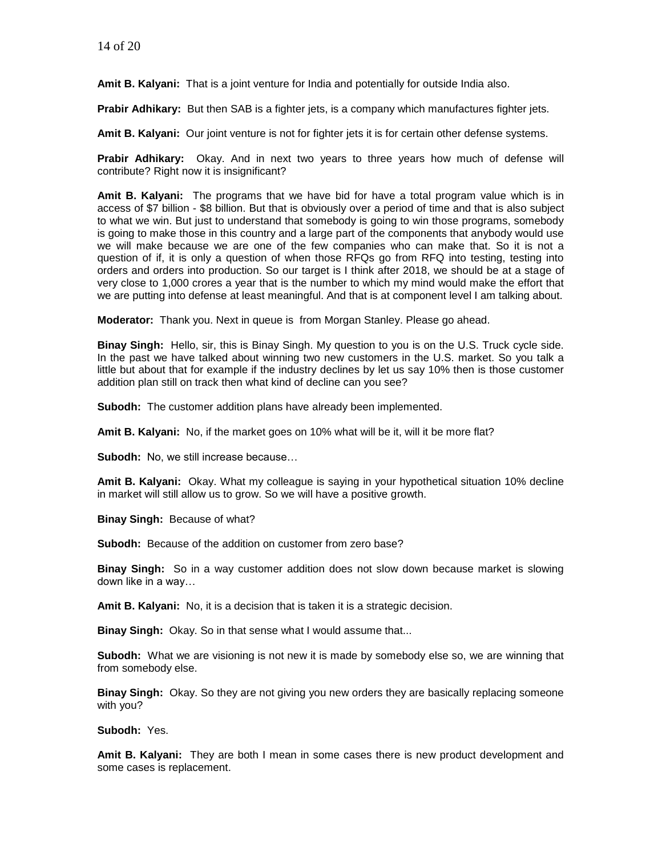**Amit B. Kalyani:** That is a joint venture for India and potentially for outside India also.

**Prabir Adhikary:** But then SAB is a fighter jets, is a company which manufactures fighter jets.

**Amit B. Kalyani:** Our joint venture is not for fighter jets it is for certain other defense systems.

**Prabir Adhikary:** Okay. And in next two years to three years how much of defense will contribute? Right now it is insignificant?

**Amit B. Kalyani:** The programs that we have bid for have a total program value which is in access of \$7 billion - \$8 billion. But that is obviously over a period of time and that is also subject to what we win. But just to understand that somebody is going to win those programs, somebody is going to make those in this country and a large part of the components that anybody would use we will make because we are one of the few companies who can make that. So it is not a question of if, it is only a question of when those RFQs go from RFQ into testing, testing into orders and orders into production. So our target is I think after 2018, we should be at a stage of very close to 1,000 crores a year that is the number to which my mind would make the effort that we are putting into defense at least meaningful. And that is at component level I am talking about.

**Moderator:** Thank you. Next in queue is from Morgan Stanley. Please go ahead.

**Binay Singh:** Hello, sir, this is Binay Singh. My question to you is on the U.S. Truck cycle side. In the past we have talked about winning two new customers in the U.S. market. So you talk a little but about that for example if the industry declines by let us say 10% then is those customer addition plan still on track then what kind of decline can you see?

**Subodh:** The customer addition plans have already been implemented.

**Amit B. Kalyani:** No, if the market goes on 10% what will be it, will it be more flat?

**Subodh:** No, we still increase because…

**Amit B. Kalyani:** Okay. What my colleague is saying in your hypothetical situation 10% decline in market will still allow us to grow. So we will have a positive growth.

**Binay Singh:** Because of what?

**Subodh:** Because of the addition on customer from zero base?

**Binay Singh:** So in a way customer addition does not slow down because market is slowing down like in a way…

**Amit B. Kalyani:** No, it is a decision that is taken it is a strategic decision.

**Binay Singh:** Okay. So in that sense what I would assume that...

**Subodh:** What we are visioning is not new it is made by somebody else so, we are winning that from somebody else.

**Binay Singh:** Okay. So they are not giving you new orders they are basically replacing someone with you?

**Subodh:** Yes.

**Amit B. Kalyani:** They are both I mean in some cases there is new product development and some cases is replacement.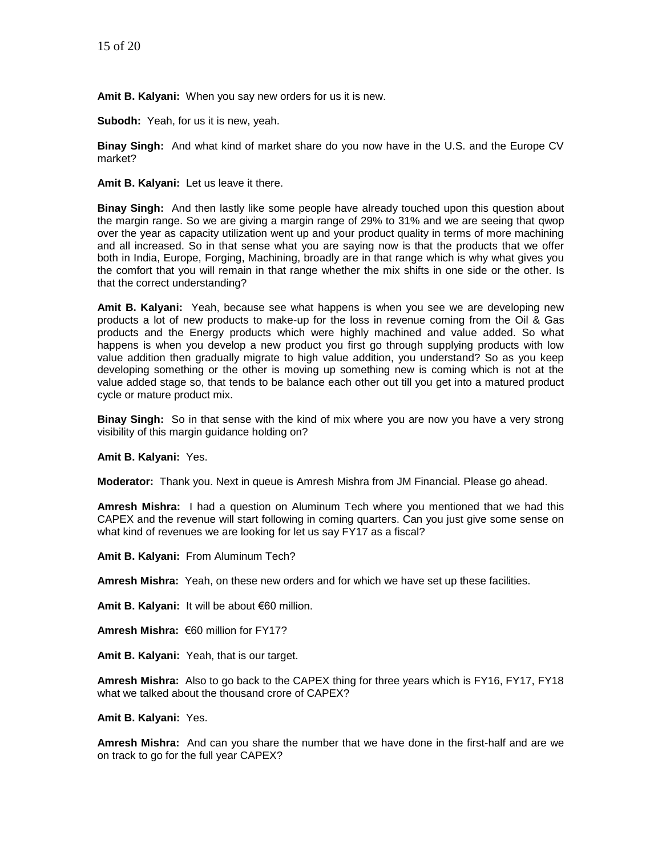**Amit B. Kalyani:** When you say new orders for us it is new.

**Subodh:** Yeah, for us it is new, yeah.

**Binay Singh:** And what kind of market share do you now have in the U.S. and the Europe CV market?

**Amit B. Kalyani:** Let us leave it there.

**Binay Singh:** And then lastly like some people have already touched upon this question about the margin range. So we are giving a margin range of 29% to 31% and we are seeing that qwop over the year as capacity utilization went up and your product quality in terms of more machining and all increased. So in that sense what you are saying now is that the products that we offer both in India, Europe, Forging, Machining, broadly are in that range which is why what gives you the comfort that you will remain in that range whether the mix shifts in one side or the other. Is that the correct understanding?

**Amit B. Kalyani:** Yeah, because see what happens is when you see we are developing new products a lot of new products to make-up for the loss in revenue coming from the Oil & Gas products and the Energy products which were highly machined and value added. So what happens is when you develop a new product you first go through supplying products with low value addition then gradually migrate to high value addition, you understand? So as you keep developing something or the other is moving up something new is coming which is not at the value added stage so, that tends to be balance each other out till you get into a matured product cycle or mature product mix.

**Binay Singh:** So in that sense with the kind of mix where you are now you have a very strong visibility of this margin guidance holding on?

**Amit B. Kalyani:** Yes.

**Moderator:** Thank you. Next in queue is Amresh Mishra from JM Financial. Please go ahead.

**Amresh Mishra:** I had a question on Aluminum Tech where you mentioned that we had this CAPEX and the revenue will start following in coming quarters. Can you just give some sense on what kind of revenues we are looking for let us say FY17 as a fiscal?

**Amit B. Kalyani:** From Aluminum Tech?

**Amresh Mishra:** Yeah, on these new orders and for which we have set up these facilities.

**Amit B. Kalyani:** It will be about €60 million.

**Amresh Mishra:** €60 million for FY17?

**Amit B. Kalyani:** Yeah, that is our target.

**Amresh Mishra:** Also to go back to the CAPEX thing for three years which is FY16, FY17, FY18 what we talked about the thousand crore of CAPEX?

**Amit B. Kalyani:** Yes.

**Amresh Mishra:** And can you share the number that we have done in the first-half and are we on track to go for the full year CAPEX?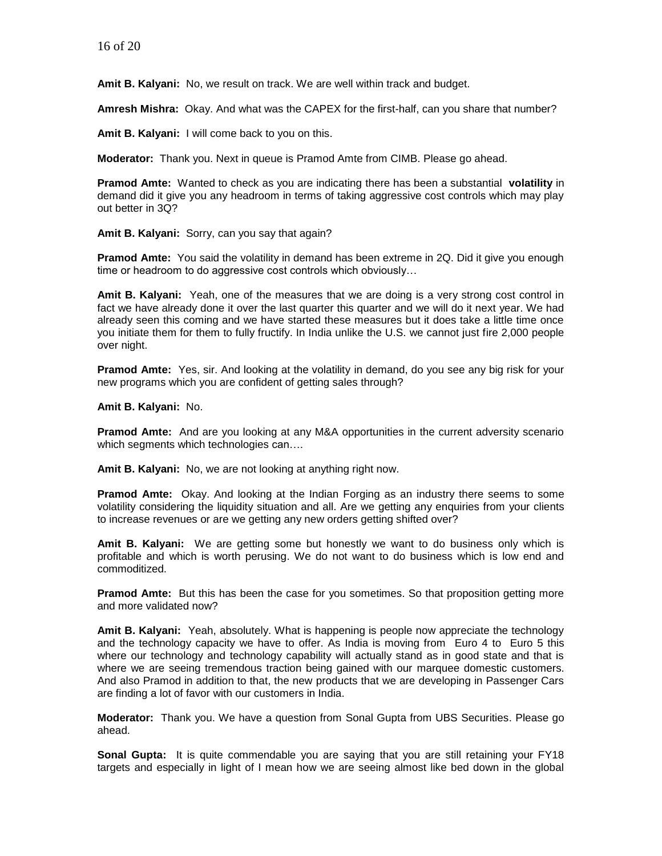**Amit B. Kalyani:** No, we result on track. We are well within track and budget.

**Amresh Mishra:** Okay. And what was the CAPEX for the first-half, can you share that number?

**Amit B. Kalyani:** I will come back to you on this.

**Moderator:** Thank you. Next in queue is Pramod Amte from CIMB. Please go ahead.

**Pramod Amte:** Wanted to check as you are indicating there has been a substantial **volatility** in demand did it give you any headroom in terms of taking aggressive cost controls which may play out better in 3Q?

**Amit B. Kalyani:** Sorry, can you say that again?

**Pramod Amte:** You said the volatility in demand has been extreme in 2Q. Did it give you enough time or headroom to do aggressive cost controls which obviously…

**Amit B. Kalyani:** Yeah, one of the measures that we are doing is a very strong cost control in fact we have already done it over the last quarter this quarter and we will do it next year. We had already seen this coming and we have started these measures but it does take a little time once you initiate them for them to fully fructify. In India unlike the U.S. we cannot just fire 2,000 people over night.

**Pramod Amte:** Yes, sir. And looking at the volatility in demand, do you see any big risk for your new programs which you are confident of getting sales through?

**Amit B. Kalyani:** No.

**Pramod Amte:** And are you looking at any M&A opportunities in the current adversity scenario which segments which technologies can....

**Amit B. Kalyani:** No, we are not looking at anything right now.

**Pramod Amte:** Okay. And looking at the Indian Forging as an industry there seems to some volatility considering the liquidity situation and all. Are we getting any enquiries from your clients to increase revenues or are we getting any new orders getting shifted over?

**Amit B. Kalyani:** We are getting some but honestly we want to do business only which is profitable and which is worth perusing. We do not want to do business which is low end and commoditized.

**Pramod Amte:** But this has been the case for you sometimes. So that proposition getting more and more validated now?

**Amit B. Kalyani:** Yeah, absolutely. What is happening is people now appreciate the technology and the technology capacity we have to offer. As India is moving from Euro 4 to Euro 5 this where our technology and technology capability will actually stand as in good state and that is where we are seeing tremendous traction being gained with our marquee domestic customers. And also Pramod in addition to that, the new products that we are developing in Passenger Cars are finding a lot of favor with our customers in India.

**Moderator:** Thank you. We have a question from Sonal Gupta from UBS Securities. Please go ahead.

**Sonal Gupta:** It is quite commendable you are saying that you are still retaining your FY18 targets and especially in light of I mean how we are seeing almost like bed down in the global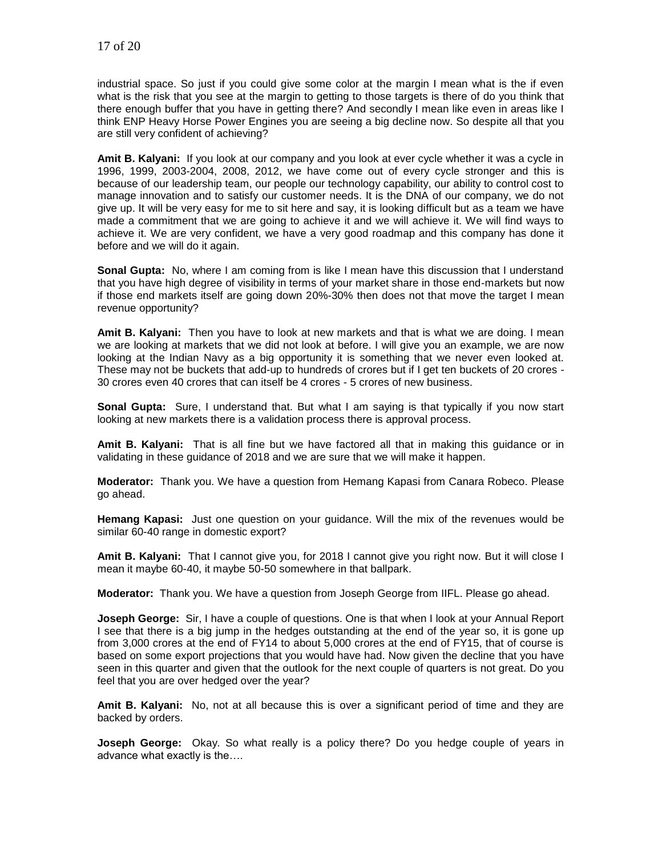industrial space. So just if you could give some color at the margin I mean what is the if even what is the risk that you see at the margin to getting to those targets is there of do you think that there enough buffer that you have in getting there? And secondly I mean like even in areas like I think ENP Heavy Horse Power Engines you are seeing a big decline now. So despite all that you are still very confident of achieving?

**Amit B. Kalyani:** If you look at our company and you look at ever cycle whether it was a cycle in 1996, 1999, 2003-2004, 2008, 2012, we have come out of every cycle stronger and this is because of our leadership team, our people our technology capability, our ability to control cost to manage innovation and to satisfy our customer needs. It is the DNA of our company, we do not give up. It will be very easy for me to sit here and say, it is looking difficult but as a team we have made a commitment that we are going to achieve it and we will achieve it. We will find ways to achieve it. We are very confident, we have a very good roadmap and this company has done it before and we will do it again.

**Sonal Gupta:** No, where I am coming from is like I mean have this discussion that I understand that you have high degree of visibility in terms of your market share in those end-markets but now if those end markets itself are going down 20%-30% then does not that move the target I mean revenue opportunity?

**Amit B. Kalyani:** Then you have to look at new markets and that is what we are doing. I mean we are looking at markets that we did not look at before. I will give you an example, we are now looking at the Indian Navy as a big opportunity it is something that we never even looked at. These may not be buckets that add-up to hundreds of crores but if I get ten buckets of 20 crores - 30 crores even 40 crores that can itself be 4 crores - 5 crores of new business.

**Sonal Gupta:** Sure, I understand that. But what I am saying is that typically if you now start looking at new markets there is a validation process there is approval process.

**Amit B. Kalyani:** That is all fine but we have factored all that in making this guidance or in validating in these guidance of 2018 and we are sure that we will make it happen.

**Moderator:** Thank you. We have a question from Hemang Kapasi from Canara Robeco. Please go ahead.

**Hemang Kapasi:** Just one question on your guidance. Will the mix of the revenues would be similar 60-40 range in domestic export?

**Amit B. Kalyani:** That I cannot give you, for 2018 I cannot give you right now. But it will close I mean it maybe 60-40, it maybe 50-50 somewhere in that ballpark.

**Moderator:** Thank you. We have a question from Joseph George from IIFL. Please go ahead.

**Joseph George:** Sir, I have a couple of questions. One is that when I look at your Annual Report I see that there is a big jump in the hedges outstanding at the end of the year so, it is gone up from 3,000 crores at the end of FY14 to about 5,000 crores at the end of FY15, that of course is based on some export projections that you would have had. Now given the decline that you have seen in this quarter and given that the outlook for the next couple of quarters is not great. Do you feel that you are over hedged over the year?

**Amit B. Kalyani:** No, not at all because this is over a significant period of time and they are backed by orders.

**Joseph George:** Okay. So what really is a policy there? Do you hedge couple of years in advance what exactly is the….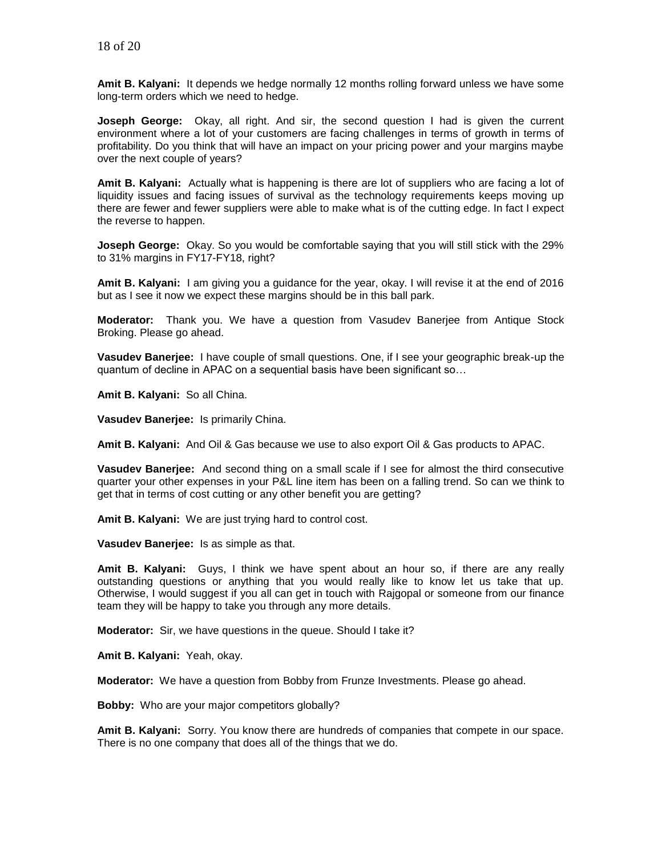**Amit B. Kalyani:** It depends we hedge normally 12 months rolling forward unless we have some long-term orders which we need to hedge.

**Joseph George:** Okay, all right. And sir, the second question I had is given the current environment where a lot of your customers are facing challenges in terms of growth in terms of profitability. Do you think that will have an impact on your pricing power and your margins maybe over the next couple of years?

**Amit B. Kalyani:** Actually what is happening is there are lot of suppliers who are facing a lot of liquidity issues and facing issues of survival as the technology requirements keeps moving up there are fewer and fewer suppliers were able to make what is of the cutting edge. In fact I expect the reverse to happen.

**Joseph George:** Okay. So you would be comfortable saying that you will still stick with the 29% to 31% margins in FY17-FY18, right?

**Amit B. Kalyani:** I am giving you a guidance for the year, okay. I will revise it at the end of 2016 but as I see it now we expect these margins should be in this ball park.

**Moderator:** Thank you. We have a question from Vasudev Banerjee from Antique Stock Broking. Please go ahead.

**Vasudev Banerjee:** I have couple of small questions. One, if I see your geographic break-up the quantum of decline in APAC on a sequential basis have been significant so…

**Amit B. Kalyani:** So all China.

**Vasudev Banerjee:** Is primarily China.

**Amit B. Kalyani:** And Oil & Gas because we use to also export Oil & Gas products to APAC.

**Vasudev Banerjee:** And second thing on a small scale if I see for almost the third consecutive quarter your other expenses in your P&L line item has been on a falling trend. So can we think to get that in terms of cost cutting or any other benefit you are getting?

**Amit B. Kalyani:** We are just trying hard to control cost.

**Vasudev Banerjee:** Is as simple as that.

**Amit B. Kalyani:** Guys, I think we have spent about an hour so, if there are any really outstanding questions or anything that you would really like to know let us take that up. Otherwise, I would suggest if you all can get in touch with Rajgopal or someone from our finance team they will be happy to take you through any more details.

**Moderator:** Sir, we have questions in the queue. Should I take it?

**Amit B. Kalyani:** Yeah, okay.

**Moderator:** We have a question from Bobby from Frunze Investments. Please go ahead.

**Bobby:** Who are your major competitors globally?

**Amit B. Kalyani:** Sorry. You know there are hundreds of companies that compete in our space. There is no one company that does all of the things that we do.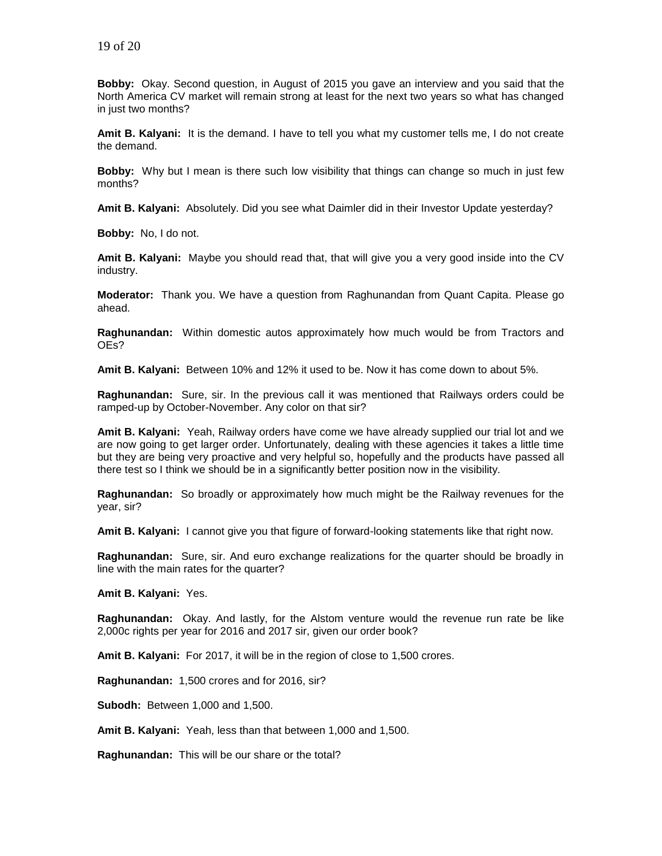**Bobby:** Okay. Second question, in August of 2015 you gave an interview and you said that the North America CV market will remain strong at least for the next two years so what has changed in just two months?

**Amit B. Kalyani:** It is the demand. I have to tell you what my customer tells me, I do not create the demand.

**Bobby:** Why but I mean is there such low visibility that things can change so much in just few months?

**Amit B. Kalyani:** Absolutely. Did you see what Daimler did in their Investor Update yesterday?

**Bobby:** No, I do not.

**Amit B. Kalyani:** Maybe you should read that, that will give you a very good inside into the CV industry.

**Moderator:** Thank you. We have a question from Raghunandan from Quant Capita. Please go ahead.

**Raghunandan:** Within domestic autos approximately how much would be from Tractors and OEs?

**Amit B. Kalyani:** Between 10% and 12% it used to be. Now it has come down to about 5%.

**Raghunandan:** Sure, sir. In the previous call it was mentioned that Railways orders could be ramped-up by October-November. Any color on that sir?

**Amit B. Kalyani:** Yeah, Railway orders have come we have already supplied our trial lot and we are now going to get larger order. Unfortunately, dealing with these agencies it takes a little time but they are being very proactive and very helpful so, hopefully and the products have passed all there test so I think we should be in a significantly better position now in the visibility.

**Raghunandan:** So broadly or approximately how much might be the Railway revenues for the year, sir?

**Amit B. Kalyani:** I cannot give you that figure of forward-looking statements like that right now.

**Raghunandan:** Sure, sir. And euro exchange realizations for the quarter should be broadly in line with the main rates for the quarter?

**Amit B. Kalyani:** Yes.

**Raghunandan:** Okay. And lastly, for the Alstom venture would the revenue run rate be like 2,000c rights per year for 2016 and 2017 sir, given our order book?

**Amit B. Kalyani:** For 2017, it will be in the region of close to 1,500 crores.

**Raghunandan:** 1,500 crores and for 2016, sir?

**Subodh:** Between 1,000 and 1,500.

**Amit B. Kalyani:** Yeah, less than that between 1,000 and 1,500.

**Raghunandan:** This will be our share or the total?